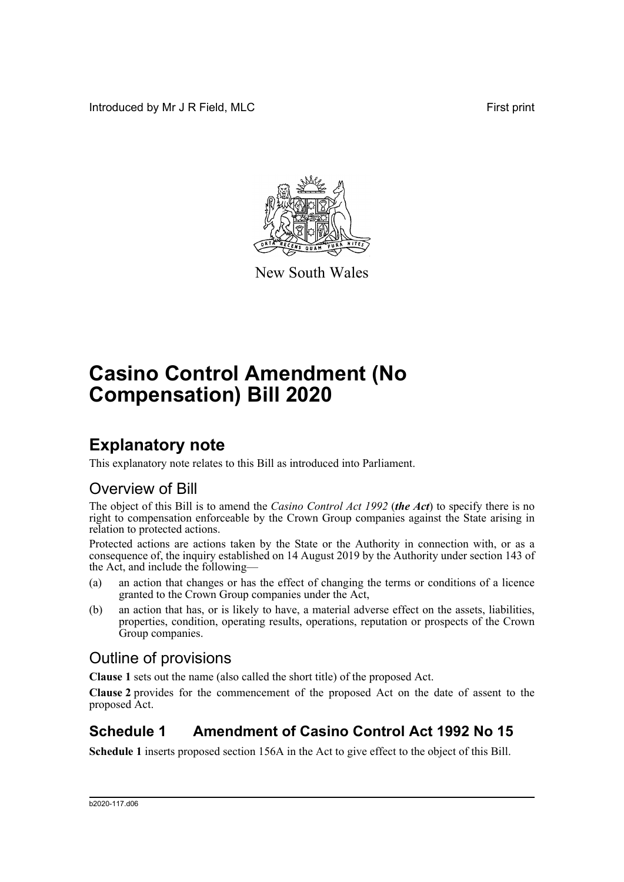Introduced by Mr J R Field, MLC **First print** 



New South Wales

# **Casino Control Amendment (No Compensation) Bill 2020**

## **Explanatory note**

This explanatory note relates to this Bill as introduced into Parliament.

### Overview of Bill

The object of this Bill is to amend the *Casino Control Act 1992* (*the Act*) to specify there is no right to compensation enforceable by the Crown Group companies against the State arising in relation to protected actions.

Protected actions are actions taken by the State or the Authority in connection with, or as a consequence of, the inquiry established on 14 August 2019 by the Authority under section 143 of the Act, and include the following—

- (a) an action that changes or has the effect of changing the terms or conditions of a licence granted to the Crown Group companies under the Act,
- (b) an action that has, or is likely to have, a material adverse effect on the assets, liabilities, properties, condition, operating results, operations, reputation or prospects of the Crown Group companies.

### Outline of provisions

**Clause 1** sets out the name (also called the short title) of the proposed Act.

**Clause 2** provides for the commencement of the proposed Act on the date of assent to the proposed Act.

### **Schedule 1 Amendment of Casino Control Act 1992 No 15**

**Schedule 1** inserts proposed section 156A in the Act to give effect to the object of this Bill.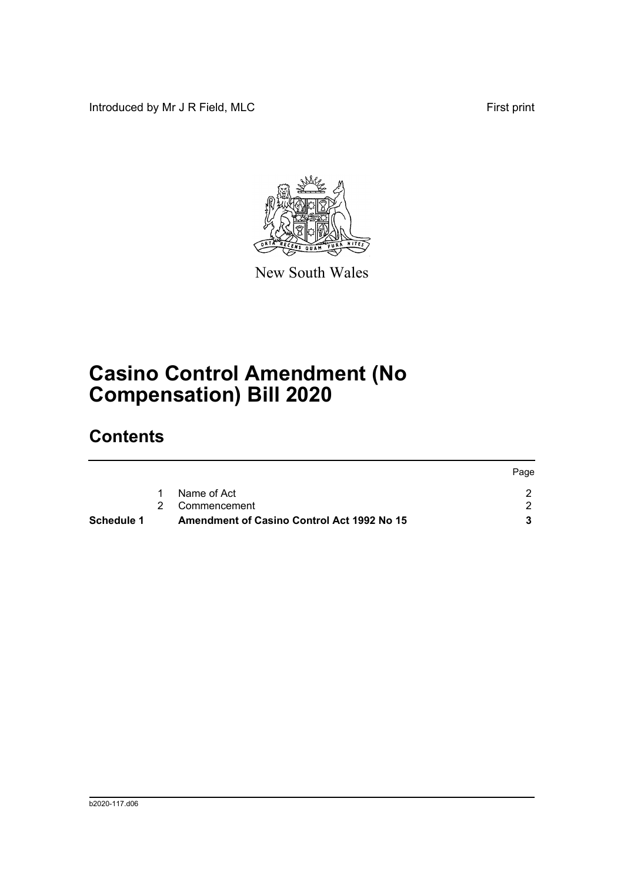Introduced by Mr J R Field, MLC First print



New South Wales

# **Casino Control Amendment (No Compensation) Bill 2020**

## **Contents**

| Schedule 1 | Amendment of Casino Control Act 1992 No 15 |      |
|------------|--------------------------------------------|------|
|            | 2 Commencement                             |      |
|            | Name of Act                                |      |
|            |                                            | Page |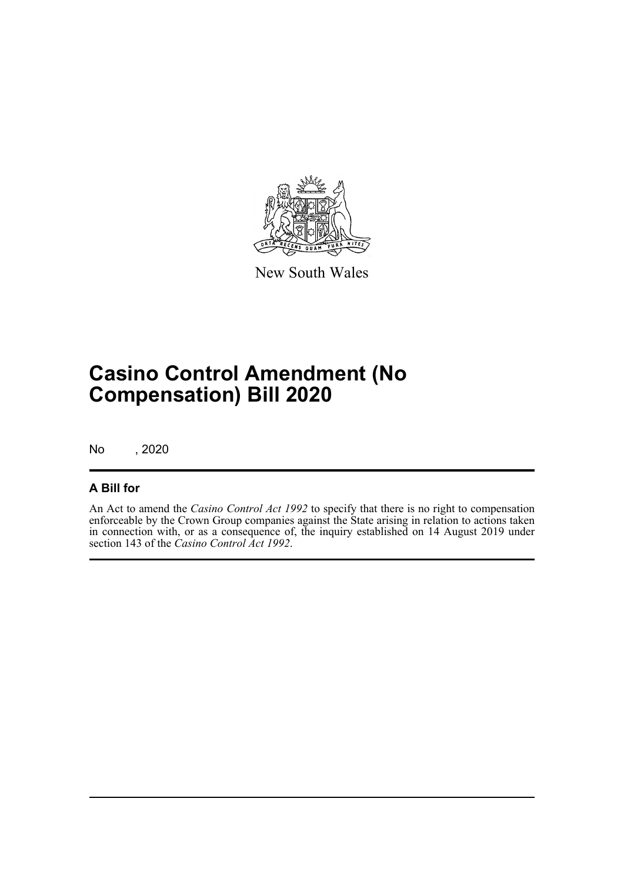

New South Wales

# **Casino Control Amendment (No Compensation) Bill 2020**

No , 2020

#### **A Bill for**

An Act to amend the *Casino Control Act 1992* to specify that there is no right to compensation enforceable by the Crown Group companies against the State arising in relation to actions taken in connection with, or as a consequence of, the inquiry established on 14 August 2019 under section 143 of the *Casino Control Act 1992*.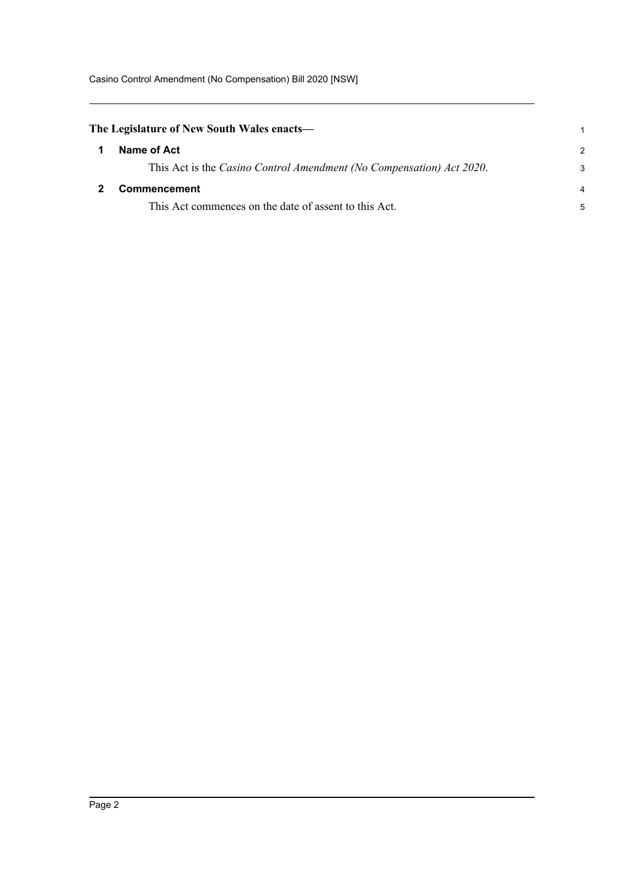Casino Control Amendment (No Compensation) Bill 2020 [NSW]

<span id="page-3-1"></span><span id="page-3-0"></span>

| The Legislature of New South Wales enacts— |                                                                      |                |
|--------------------------------------------|----------------------------------------------------------------------|----------------|
|                                            | Name of Act                                                          | $\mathcal{P}$  |
|                                            | This Act is the Casino Control Amendment (No Compensation) Act 2020. | 3              |
|                                            | <b>Commencement</b>                                                  | $\overline{4}$ |
|                                            | This Act commences on the date of assent to this Act.                | 5              |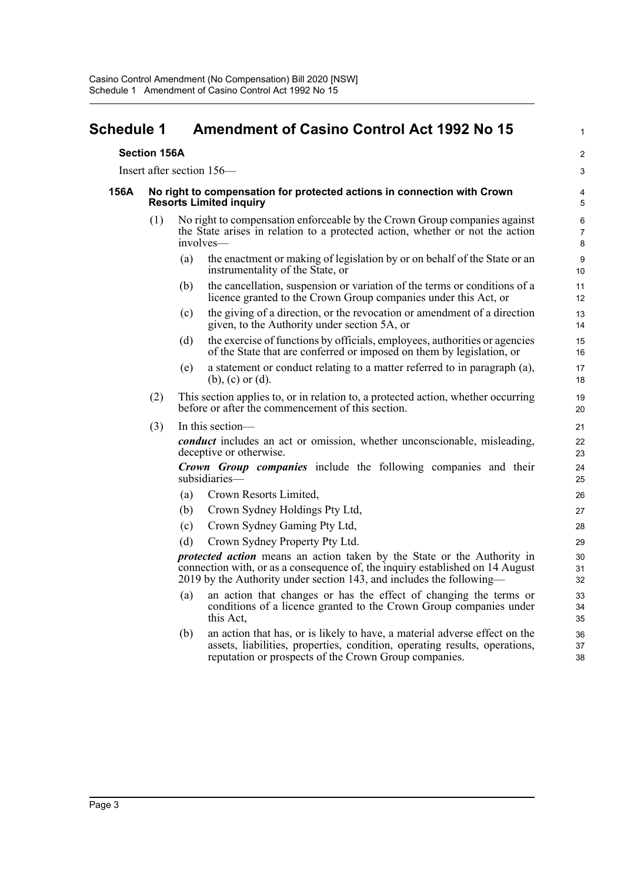#### <span id="page-4-0"></span>**Schedule 1 Amendment of Casino Control Act 1992 No 15**

#### **Section 156A**

Insert after section 156—

#### **156A No right to compensation for protected actions in connection with Crown Resorts Limited inquiry**

- (1) No right to compensation enforceable by the Crown Group companies against the State arises in relation to a protected action, whether or not the action involves—
	- (a) the enactment or making of legislation by or on behalf of the State or an instrumentality of the State, or

1

 $\overline{2}$ 3

- (b) the cancellation, suspension or variation of the terms or conditions of a licence granted to the Crown Group companies under this Act, or
- (c) the giving of a direction, or the revocation or amendment of a direction given, to the Authority under section 5A, or
- (d) the exercise of functions by officials, employees, authorities or agencies of the State that are conferred or imposed on them by legislation, or
- (e) a statement or conduct relating to a matter referred to in paragraph (a), (b), (c) or (d).
- (2) This section applies to, or in relation to, a protected action, whether occurring before or after the commencement of this section.
- (3) In this section—

*conduct* includes an act or omission, whether unconscionable, misleading, deceptive or otherwise.

*Crown Group companies* include the following companies and their subsidiaries—

- (a) Crown Resorts Limited,
- (b) Crown Sydney Holdings Pty Ltd,
- (c) Crown Sydney Gaming Pty Ltd,
- (d) Crown Sydney Property Pty Ltd.

*protected action* means an action taken by the State or the Authority in connection with, or as a consequence of, the inquiry established on 14 August 2019 by the Authority under section 143, and includes the following—

- (a) an action that changes or has the effect of changing the terms or conditions of a licence granted to the Crown Group companies under this Act,
- (b) an action that has, or is likely to have, a material adverse effect on the assets, liabilities, properties, condition, operating results, operations, reputation or prospects of the Crown Group companies.